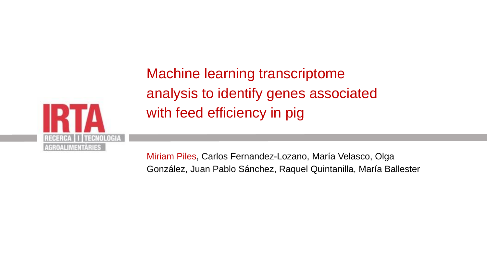

Machine learning transcriptome analysis to identify genes associated with feed efficiency in pig

Miriam Piles, Carlos Fernandez-Lozano, María Velasco, Olga González, Juan Pablo Sánchez, Raquel Quintanilla, María Ballester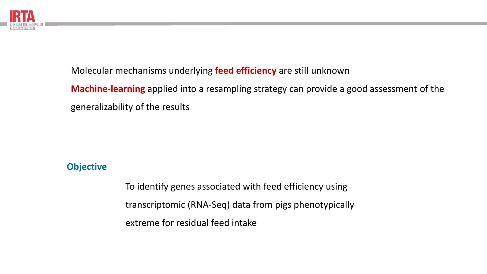

Molecular mechanisms underlying **feed efficiency** are still unknown

**Machine-learning** applied into a resampling strategy can provide a good assessment of the generalizability of the results

## **Objective**

To identify genes associated with feed efficiency using transcriptomic (RNA-Seq) data from pigs phenotypically extreme for residual feed intake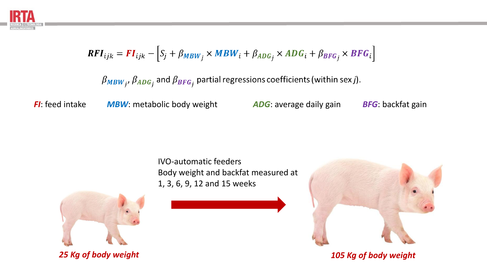

$$
RFI_{ijk} = FI_{ijk} - [S_j + \beta_{MBW_j} \times MBW_i + \beta_{ADG_j} \times ADG_i + \beta_{BFG_j} \times BFG_i]
$$

 $\beta_{MBW_j}$ ,  $\beta_{ADG_j}$  and  $\beta_{BFG_j}$  partial regressions coefficients (within sex j).

*FI*: feed intake *MBW*: metabolic body weight *ADG*: average daily gain *BFG*: backfat gain

IVO-automatic feeders Body weight and backfat measured at 1, 3, 6, 9, 12 and 15 weeks



*25 Kg of body weight 105 Kg of body weight*

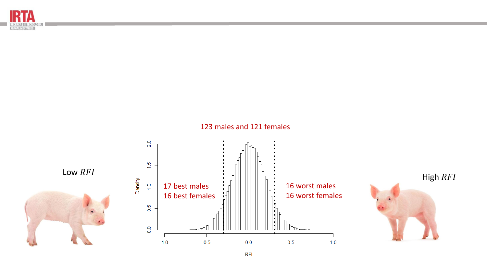

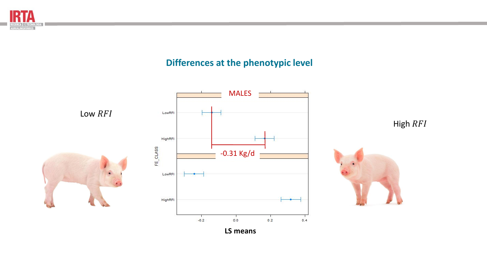

# **Differences at the phenotypic level**



**LS means**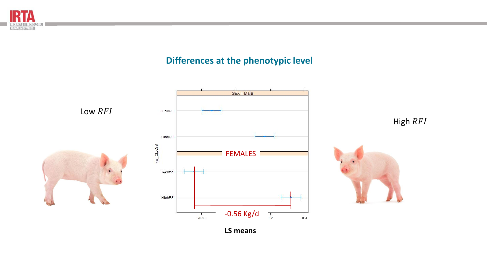

# **Differences at the phenotypic level**



**LS means**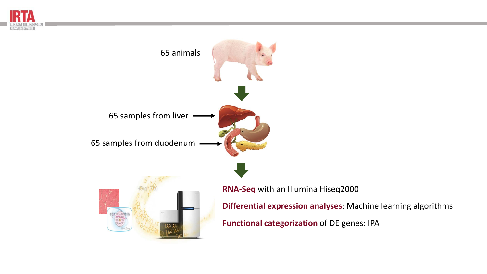



**Differential expression analyses**: Machine learning algorithms

**Functional categorization** of DE genes: IPA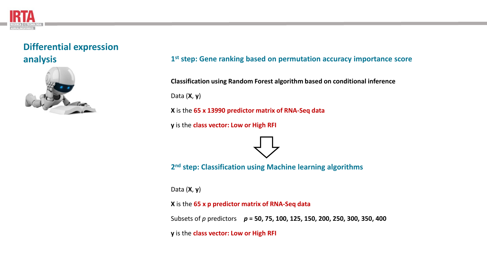# **Differential expression analysis**



### **1 st step: Gene ranking based on permutation accuracy importance score**

**Classification using Random Forest algorithm based on conditional inference**

Data (**X**, **y**)

**X** is the **65 x 13990 predictor matrix of RNA-Seq data**

**y** is the **class vector: Low or High RFI** 



**2 nd step: Classification using Machine learning algorithms**

Data (**X**, **y**)

**X** is the **65 x p predictor matrix of RNA-Seq data**

Subsets of *p* predictors *p* **= 50, 75, 100, 125, 150, 200, 250, 300, 350, 400**

**y** is the **class vector: Low or High RFI**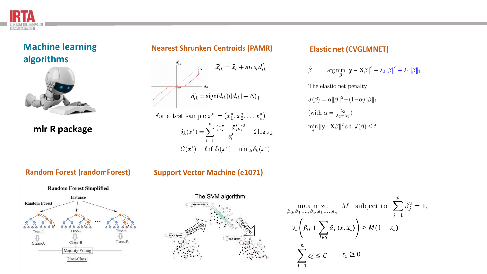



**mlr R package**

### **Nearest Shrunken Centroids (PAMR) Elastic net (CVGLMNET)**



For a test sample 
$$
x^* = (x_1^*, x_2^*, \dots x_p^*)
$$
  
\n
$$
\delta_k(x^*) = \sum_{i=1}^p \frac{(x_i^* - \bar{x}_{ik}')^2}{s_i^2} - 2\log \pi_k
$$
\n
$$
C(x^*) = \ell \text{ if } \delta_\ell(x^*) = \min_k \delta_k(x^*)
$$

$$
\hat{\beta} = \arg \min_{\beta} \|\mathbf{y} - \mathbf{X}\beta\|^2 + \lambda_2 \|\beta\|^2 + \lambda_1 \|\beta\|_1
$$

The elastic net penalty

 $J(\beta) = \alpha ||\beta||^2 + (1-\alpha) ||\beta||_1$ (with  $\alpha = \frac{\lambda_2}{\lambda_2 + \lambda_1}$ )  $\min_{\beta} ||\mathbf{y}-\mathbf{X}\beta||^2$  s.t.  $J(\beta) \leq t$ .



### **Random Forest (randomForest) Support Vector Machine (e1071)**



### $\label{eq:optimal} \underset{\beta_0,\beta_1,\ldots,\beta_p,\epsilon_1,\ldots,\epsilon_n}{\text{maximize}} \quad M \quad \text{subject to} \quad \sum_{j=1}^p \beta_j^2 = 1,$  $y_i | \beta_0 + \sum$  $\hat{\alpha}_i \langle x, x_i \rangle \geq M(1 - \varepsilon_i)$ i∈S  $\boldsymbol{n}$  $\sum \varepsilon_i \leq C \qquad \varepsilon_i \geq 0$  $\varepsilon_i \leq C$  $i=1$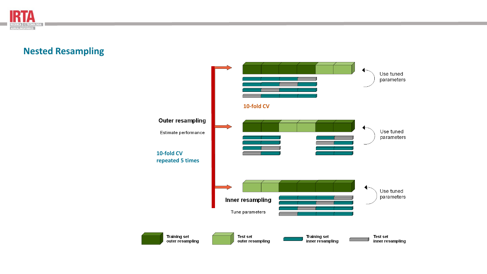

# **Nested Resampling**

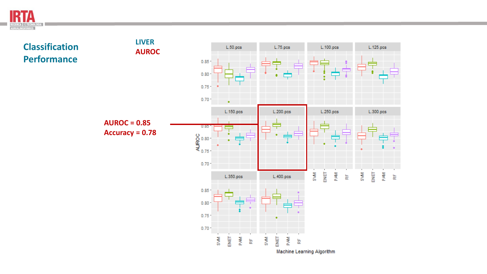

### **LIVER Classification**  L.50.pcs L.125.pcs L.75.pcs L.100.pcs **AUROC Performance**  0.85  $0.80$  $0.75 0.70 -$ L.150.pcs L.200.pcs L.250.pcs  $L.300.pcs$ **AUROC = 0.85** ≑  $0.85$ **Accuracy = 0.78** $^{\circ}_{\mathbb{R}}^{\circ}_{\mathbb{R}}^{\circ}$ <br> $^{\circ}_{\mathbb{R}}^{\circ}$  $0.70 -$ **S** 달 PAM **MVS** 달 **Mkid** 눈  $\frac{\mu}{\alpha}$ L.350.pcs  $L.400.pcs$  $0.85$  $0.80$  $0.75 0.70 -$ ENET **NVS NVS** ENET **RAM** P<sub>AM</sub> 눈  $\frac{\mu}{\alpha}$

Machine Learning Algorithm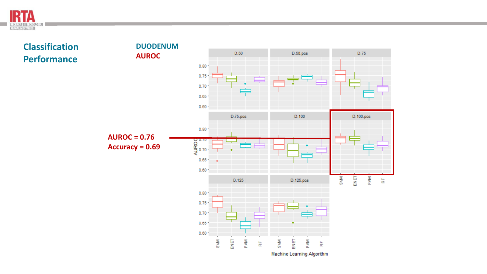

**Classification Performance** 

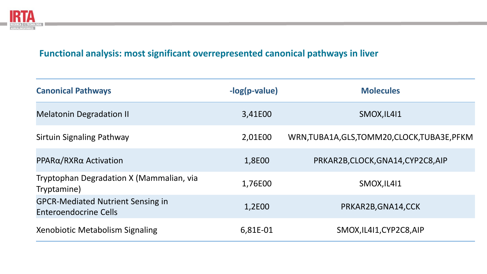

# **Functional analysis: most significant overrepresented canonical pathways in liver**

| <b>Canonical Pathways</b>                                                | $-log(p-value)$ | <b>Molecules</b>                              |
|--------------------------------------------------------------------------|-----------------|-----------------------------------------------|
| <b>Melatonin Degradation II</b>                                          | 3,41E00         | SMOX, IL411                                   |
| Sirtuin Signaling Pathway                                                | 2,01E00         | WRN, TUBA1A, GLS, TOMM20, CLOCK, TUBA3E, PFKM |
| PPARα/RXRα Activation                                                    | 1,8E00          | PRKAR2B, CLOCK, GNA14, CYP2C8, AIP            |
| Tryptophan Degradation X (Mammalian, via<br>Tryptamine)                  | 1,76E00         | SMOX, IL411                                   |
| <b>GPCR-Mediated Nutrient Sensing in</b><br><b>Enteroendocrine Cells</b> | 1,2E00          | PRKAR2B, GNA14, CCK                           |
| Xenobiotic Metabolism Signaling                                          | 6,81E-01        | SMOX, IL411, CYP2C8, AIP                      |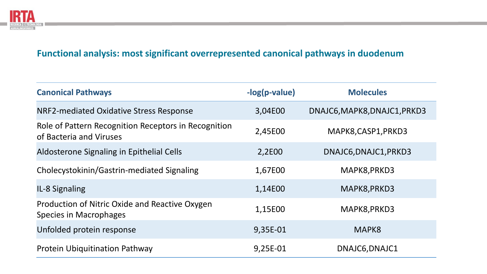

# **Functional analysis: most significant overrepresented canonical pathways in duodenum**

| <b>Canonical Pathways</b>                                                       | -log(p-value) | <b>Molecules</b>             |
|---------------------------------------------------------------------------------|---------------|------------------------------|
| NRF2-mediated Oxidative Stress Response                                         | 3,04E00       | DNAJC6, MAPK8, DNAJC1, PRKD3 |
| Role of Pattern Recognition Receptors in Recognition<br>of Bacteria and Viruses | 2,45E00       | MAPK8, CASP1, PRKD3          |
| Aldosterone Signaling in Epithelial Cells                                       | 2,2E00        | DNAJC6, DNAJC1, PRKD3        |
| Cholecystokinin/Gastrin-mediated Signaling                                      | 1,67E00       | MAPK8, PRKD3                 |
| IL-8 Signaling                                                                  | 1,14E00       | MAPK8, PRKD3                 |
| Production of Nitric Oxide and Reactive Oxygen<br>Species in Macrophages        | 1,15E00       | MAPK8, PRKD3                 |
| Unfolded protein response                                                       | 9,35E-01      | MAPK8                        |
| <b>Protein Ubiquitination Pathway</b>                                           | 9,25E-01      | DNAJC6, DNAJC1               |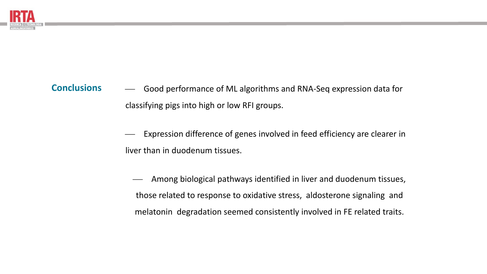

### Good performance of ML algorithms and RNA-Seq expression data for classifying pigs into high or low RFI groups. **Conclusions**

Expression difference of genes involved in feed efficiency are clearer in liver than in duodenum tissues.

Among biological pathways identified in liver and duodenum tissues, those related to response to oxidative stress, aldosterone signaling and melatonin degradation seemed consistently involved in FE related traits.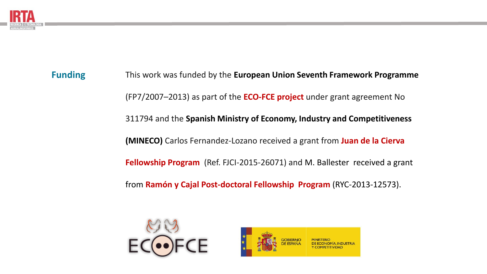

**Funding**

This work was funded by the **European Union Seventh Framework Programme** (FP7/2007–2013) as part of the **ECO-FCE project** under grant agreement No 311794 and the **Spanish Ministry of Economy, Industry and Competitiveness (MINECO)** Carlos Fernandez-Lozano received a grant from **Juan de la Cierva Fellowship Program** (Ref. FJCI-2015-26071) and M. Ballester received a grant from **Ramón y Cajal Post-doctoral Fellowship Program** (RYC-2013-12573).



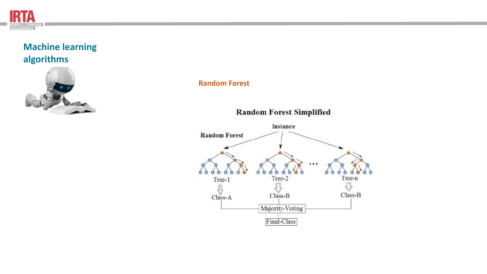



### **Random Forest**

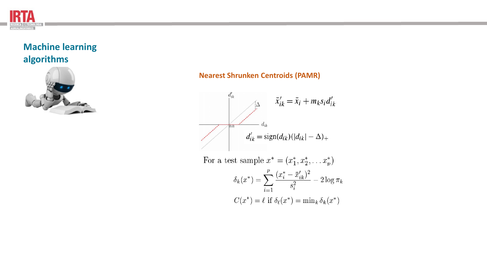



### **Nearest Shrunken Centroids (PAMR)**



For a test sample  $x^* = (x_1^*, x_2^*, \dots x_p^*)$  $\delta_k(x^*) = \sum_{i=1}^p \frac{(x_i^* - \bar{x}_{ik}')^2}{s_i^2} - 2\log \pi_k$  $C(x^*) = \ell$  if  $\delta_{\ell}(x^*) = \min_k \delta_k(x^*)$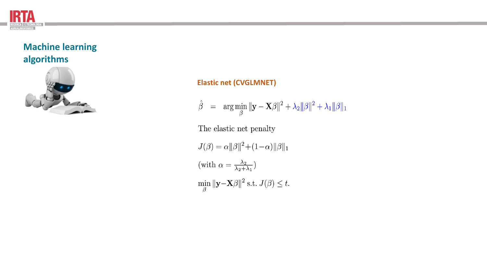



### **Elastic net (CVGLMNET)**

$$
\hat{\beta} = \arg \min_{\beta} \|\mathbf{y} - \mathbf{X}\beta\|^2 + \lambda_2 \|\beta\|^2 + \lambda_1 \|\beta\|_1
$$

The elastic net penalty

 $J(\beta) = \alpha ||\beta||^2 + (1-\alpha) ||\beta||_1$ (with  $\alpha = \frac{\lambda_2}{\lambda_2 + \lambda_1}$ )  $\min_{\beta} \|\mathbf{y} - \mathbf{X}\beta\|^2 \text{ s.t. } J(\beta) \leq t.$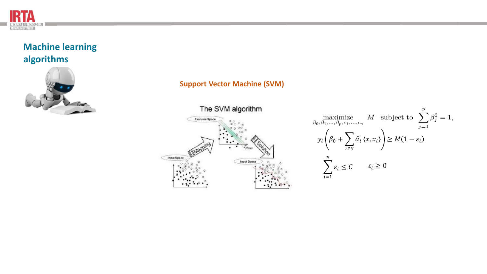



### **Support Vector Machine (SVM)**



$$
\begin{aligned}\n\max_{\beta_0, \beta_1, \dots, \beta_p, \epsilon_1, \dots, \epsilon_n} & M \quad \text{subject to} \quad \sum_{j=1}^p \beta_j^2 = 1, \\
y_i \left( \beta_0 + \sum_{i \in S} \hat{\alpha}_i \langle x, x_i \rangle \right) &\geq M(1 - \varepsilon_i) \\
\sum_{i=1}^n \varepsilon_i &\leq C \qquad \varepsilon_i \geq 0\n\end{aligned}
$$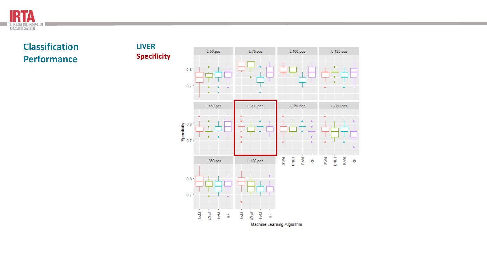

**Classification Performance**